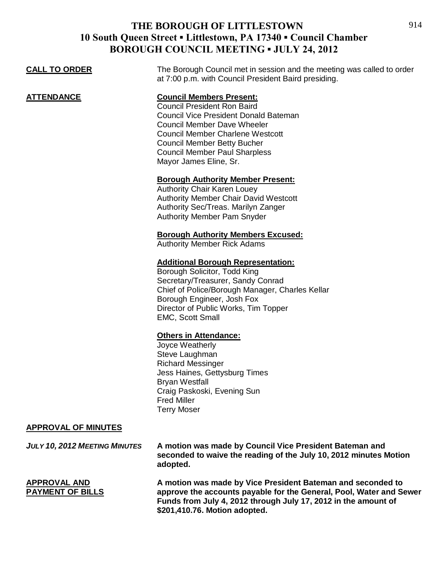| <b>CALL TO ORDER</b>                           | The Borough Council met in session and the meeting was called to order<br>at 7:00 p.m. with Council President Baird presiding.                                                                                                                                                                                 |
|------------------------------------------------|----------------------------------------------------------------------------------------------------------------------------------------------------------------------------------------------------------------------------------------------------------------------------------------------------------------|
| <b>ATTENDANCE</b>                              | <b>Council Members Present:</b><br><b>Council President Ron Baird</b><br><b>Council Vice President Donald Bateman</b><br><b>Council Member Dave Wheeler</b><br><b>Council Member Charlene Westcott</b><br><b>Council Member Betty Bucher</b><br><b>Council Member Paul Sharpless</b><br>Mayor James Eline, Sr. |
|                                                | <b>Borough Authority Member Present:</b><br><b>Authority Chair Karen Louey</b><br><b>Authority Member Chair David Westcott</b><br>Authority Sec/Treas. Marilyn Zanger<br><b>Authority Member Pam Snyder</b>                                                                                                    |
|                                                | <b>Borough Authority Members Excused:</b><br><b>Authority Member Rick Adams</b>                                                                                                                                                                                                                                |
|                                                | <b>Additional Borough Representation:</b><br>Borough Solicitor, Todd King<br>Secretary/Treasurer, Sandy Conrad<br>Chief of Police/Borough Manager, Charles Kellar<br>Borough Engineer, Josh Fox<br>Director of Public Works, Tim Topper<br><b>EMC, Scott Small</b>                                             |
|                                                | <b>Others in Attendance:</b><br>Joyce Weatherly<br>Steve Laughman<br><b>Richard Messinger</b><br>Jess Haines, Gettysburg Times<br><b>Bryan Westfall</b><br>Craig Paskoski, Evening Sun<br><b>Fred Miller</b><br><b>Terry Moser</b>                                                                             |
| <b>APPROVAL OF MINUTES</b>                     |                                                                                                                                                                                                                                                                                                                |
| <b>JULY 10, 2012 MEETING MINUTES</b>           | A motion was made by Council Vice President Bateman and<br>seconded to waive the reading of the July 10, 2012 minutes Motion<br>adopted.                                                                                                                                                                       |
| <b>APPROVAL AND</b><br><b>PAYMENT OF BILLS</b> | A motion was made by Vice President Bateman and seconded to<br>approve the accounts payable for the General, Pool, Water and Sewer<br>Funds from July 4, 2012 through July 17, 2012 in the amount of<br>\$201,410.76. Motion adopted.                                                                          |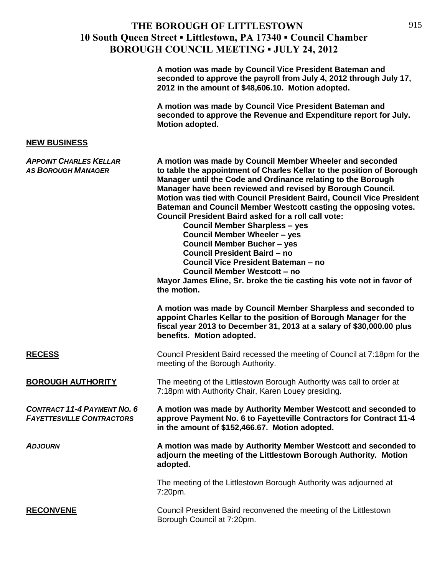|                                                                        | A motion was made by Council Vice President Bateman and<br>seconded to approve the payroll from July 4, 2012 through July 17,<br>2012 in the amount of \$48,606.10. Motion adopted.                                                                                                                                                                                                                                                                                                                                                                                                                                                                                                                                                                                                                         |
|------------------------------------------------------------------------|-------------------------------------------------------------------------------------------------------------------------------------------------------------------------------------------------------------------------------------------------------------------------------------------------------------------------------------------------------------------------------------------------------------------------------------------------------------------------------------------------------------------------------------------------------------------------------------------------------------------------------------------------------------------------------------------------------------------------------------------------------------------------------------------------------------|
|                                                                        | A motion was made by Council Vice President Bateman and<br>seconded to approve the Revenue and Expenditure report for July.<br>Motion adopted.                                                                                                                                                                                                                                                                                                                                                                                                                                                                                                                                                                                                                                                              |
| <b>NEW BUSINESS</b>                                                    |                                                                                                                                                                                                                                                                                                                                                                                                                                                                                                                                                                                                                                                                                                                                                                                                             |
| <b>APPOINT CHARLES KELLAR</b><br><b>AS BOROUGH MANAGER</b>             | A motion was made by Council Member Wheeler and seconded<br>to table the appointment of Charles Kellar to the position of Borough<br>Manager until the Code and Ordinance relating to the Borough<br>Manager have been reviewed and revised by Borough Council.<br>Motion was tied with Council President Baird, Council Vice President<br>Bateman and Council Member Westcott casting the opposing votes.<br><b>Council President Baird asked for a roll call vote:</b><br><b>Council Member Sharpless - yes</b><br><b>Council Member Wheeler - yes</b><br><b>Council Member Bucher - yes</b><br><b>Council President Baird - no</b><br>Council Vice President Bateman - no<br><b>Council Member Westcott - no</b><br>Mayor James Eline, Sr. broke the tie casting his vote not in favor of<br>the motion. |
|                                                                        | A motion was made by Council Member Sharpless and seconded to<br>appoint Charles Kellar to the position of Borough Manager for the<br>fiscal year 2013 to December 31, 2013 at a salary of \$30,000.00 plus<br>benefits. Motion adopted.                                                                                                                                                                                                                                                                                                                                                                                                                                                                                                                                                                    |
| <b>RECESS</b>                                                          | Council President Baird recessed the meeting of Council at 7:18pm for the<br>meeting of the Borough Authority.                                                                                                                                                                                                                                                                                                                                                                                                                                                                                                                                                                                                                                                                                              |
| <b>BOROUGH AUTHORITY</b>                                               | The meeting of the Littlestown Borough Authority was call to order at<br>7:18pm with Authority Chair, Karen Louey presiding.                                                                                                                                                                                                                                                                                                                                                                                                                                                                                                                                                                                                                                                                                |
| <b>CONTRACT 11-4 PAYMENT NO. 6</b><br><b>FAYETTESVILLE CONTRACTORS</b> | A motion was made by Authority Member Westcott and seconded to<br>approve Payment No. 6 to Fayetteville Contractors for Contract 11-4<br>in the amount of \$152,466.67. Motion adopted.                                                                                                                                                                                                                                                                                                                                                                                                                                                                                                                                                                                                                     |
| <b>ADJOURN</b>                                                         | A motion was made by Authority Member Westcott and seconded to<br>adjourn the meeting of the Littlestown Borough Authority. Motion<br>adopted.                                                                                                                                                                                                                                                                                                                                                                                                                                                                                                                                                                                                                                                              |
|                                                                        | The meeting of the Littlestown Borough Authority was adjourned at<br>7:20pm.                                                                                                                                                                                                                                                                                                                                                                                                                                                                                                                                                                                                                                                                                                                                |
| <b>RECONVENE</b>                                                       | Council President Baird reconvened the meeting of the Littlestown<br>Borough Council at 7:20pm.                                                                                                                                                                                                                                                                                                                                                                                                                                                                                                                                                                                                                                                                                                             |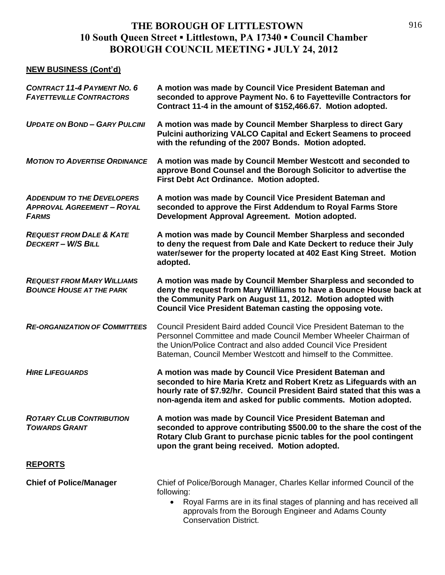#### **NEW BUSINESS (Cont'd)**

| <b>CONTRACT 11-4 PAYMENT NO. 6</b><br><b>FAYETTEVILLE CONTRACTORS</b>                  | A motion was made by Council Vice President Bateman and<br>seconded to approve Payment No. 6 to Fayetteville Contractors for<br>Contract 11-4 in the amount of \$152,466.67. Motion adopted.                                                                                 |
|----------------------------------------------------------------------------------------|------------------------------------------------------------------------------------------------------------------------------------------------------------------------------------------------------------------------------------------------------------------------------|
| <b>UPDATE ON BOND-GARY PULCINI</b>                                                     | A motion was made by Council Member Sharpless to direct Gary<br><b>Pulcini authorizing VALCO Capital and Eckert Seamens to proceed</b><br>with the refunding of the 2007 Bonds. Motion adopted.                                                                              |
| <b>MOTION TO ADVERTISE ORDINANCE</b>                                                   | A motion was made by Council Member Westcott and seconded to<br>approve Bond Counsel and the Borough Solicitor to advertise the<br>First Debt Act Ordinance. Motion adopted.                                                                                                 |
| <b>ADDENDUM TO THE DEVELOPERS</b><br><b>APPROVAL AGREEMENT - ROYAL</b><br><b>FARMS</b> | A motion was made by Council Vice President Bateman and<br>seconded to approve the First Addendum to Royal Farms Store<br>Development Approval Agreement. Motion adopted.                                                                                                    |
| <b>REQUEST FROM DALE &amp; KATE</b><br><b>DECKERT-W/S BILL</b>                         | A motion was made by Council Member Sharpless and seconded<br>to deny the request from Dale and Kate Deckert to reduce their July<br>water/sewer for the property located at 402 East King Street. Motion<br>adopted.                                                        |
| <b>REQUEST FROM MARY WILLIAMS</b><br><b>BOUNCE HOUSE AT THE PARK</b>                   | A motion was made by Council Member Sharpless and seconded to<br>deny the request from Mary Williams to have a Bounce House back at<br>the Community Park on August 11, 2012. Motion adopted with<br>Council Vice President Bateman casting the opposing vote.               |
| <b>RE-ORGANIZATION OF COMMITTEES</b>                                                   | Council President Baird added Council Vice President Bateman to the<br>Personnel Committee and made Council Member Wheeler Chairman of<br>the Union/Police Contract and also added Council Vice President<br>Bateman, Council Member Westcott and himself to the Committee.  |
| <b>HIRE LIFEGUARDS</b>                                                                 | A motion was made by Council Vice President Bateman and<br>seconded to hire Maria Kretz and Robert Kretz as Lifeguards with an<br>hourly rate of \$7.92/hr. Council President Baird stated that this was a<br>non-agenda item and asked for public comments. Motion adopted. |
| <b>ROTARY CLUB CONTRIBUTION</b><br><b>TOWARDS GRANT</b>                                | A motion was made by Council Vice President Bateman and<br>seconded to approve contributing \$500.00 to the share the cost of the<br>Rotary Club Grant to purchase picnic tables for the pool contingent<br>upon the grant being received. Motion adopted.                   |
| <b>REPORTS</b>                                                                         |                                                                                                                                                                                                                                                                              |
| <b>Chief of Police/Manager</b>                                                         | Chief of Police/Borough Manager, Charles Kellar informed Council of the<br>following:<br>Royal Farms are in its final stages of planning and has received all<br>$\bullet$<br>approvals from the Borough Engineer and Adams County                                           |

Conservation District.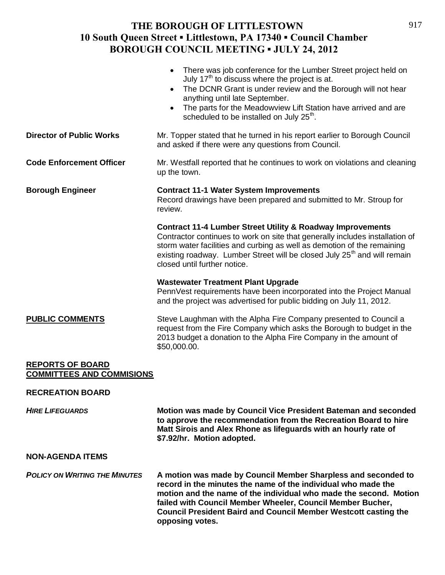|                                                             | There was job conference for the Lumber Street project held on<br>July 17 <sup>th</sup> to discuss where the project is at.<br>The DCNR Grant is under review and the Borough will not hear<br>$\bullet$<br>anything until late September.<br>The parts for the Meadowview Lift Station have arrived and are<br>scheduled to be installed on July 25 <sup>th</sup> . |
|-------------------------------------------------------------|----------------------------------------------------------------------------------------------------------------------------------------------------------------------------------------------------------------------------------------------------------------------------------------------------------------------------------------------------------------------|
| <b>Director of Public Works</b>                             | Mr. Topper stated that he turned in his report earlier to Borough Council<br>and asked if there were any questions from Council.                                                                                                                                                                                                                                     |
| <b>Code Enforcement Officer</b>                             | Mr. Westfall reported that he continues to work on violations and cleaning<br>up the town.                                                                                                                                                                                                                                                                           |
| <b>Borough Engineer</b>                                     | <b>Contract 11-1 Water System Improvements</b><br>Record drawings have been prepared and submitted to Mr. Stroup for<br>review.                                                                                                                                                                                                                                      |
|                                                             | <b>Contract 11-4 Lumber Street Utility &amp; Roadway Improvements</b><br>Contractor continues to work on site that generally includes installation of<br>storm water facilities and curbing as well as demotion of the remaining<br>existing roadway. Lumber Street will be closed July 25 <sup>th</sup> and will remain<br>closed until further notice.             |
|                                                             | <b>Wastewater Treatment Plant Upgrade</b><br>PennVest requirements have been incorporated into the Project Manual<br>and the project was advertised for public bidding on July 11, 2012.                                                                                                                                                                             |
| <b>PUBLIC COMMENTS</b>                                      | Steve Laughman with the Alpha Fire Company presented to Council a<br>request from the Fire Company which asks the Borough to budget in the<br>2013 budget a donation to the Alpha Fire Company in the amount of<br>\$50,000.00.                                                                                                                                      |
| <b>REPORTS OF BOARD</b><br><b>COMMITTEES AND COMMISIONS</b> |                                                                                                                                                                                                                                                                                                                                                                      |
| <b>RECREATION BOARD</b>                                     |                                                                                                                                                                                                                                                                                                                                                                      |
| <b>HIRE LIFEGUARDS</b>                                      | Motion was made by Council Vice President Bateman and seconded<br>to approve the recommendation from the Recreation Board to hire<br>Matt Sirois and Alex Rhone as lifeguards with an hourly rate of<br>\$7.92/hr. Motion adopted.                                                                                                                                   |
| <b>NON-AGENDA ITEMS</b>                                     |                                                                                                                                                                                                                                                                                                                                                                      |
| <b>POLICY ON WRITING THE MINUTES</b>                        | A motion was made by Council Member Sharpless and seconded to<br>record in the minutes the name of the individual who made the<br>motion and the name of the individual who made the second. Motion<br>failed with Council Member Wheeler, Council Member Bucher,<br><b>Council President Baird and Council Member Westcott casting the</b>                          |

**opposing votes.**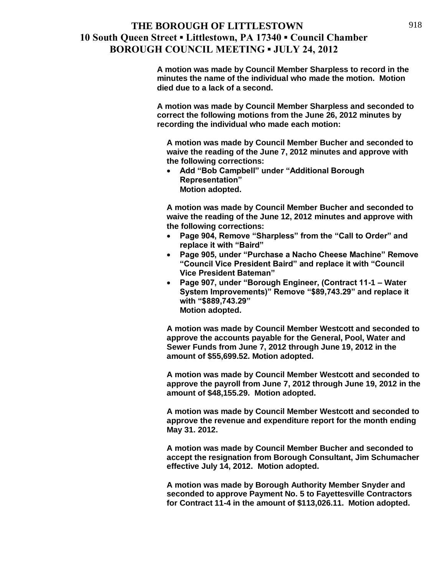**A motion was made by Council Member Sharpless to record in the minutes the name of the individual who made the motion. Motion died due to a lack of a second.**

**A motion was made by Council Member Sharpless and seconded to correct the following motions from the June 26, 2012 minutes by recording the individual who made each motion:** 

**A motion was made by Council Member Bucher and seconded to waive the reading of the June 7, 2012 minutes and approve with the following corrections:**

 **Add "Bob Campbell" under "Additional Borough Representation" Motion adopted.**

**A motion was made by Council Member Bucher and seconded to waive the reading of the June 12, 2012 minutes and approve with the following corrections:**

- **Page 904, Remove "Sharpless" from the "Call to Order" and replace it with "Baird"**
- **Page 905, under "Purchase a Nacho Cheese Machine" Remove "Council Vice President Baird" and replace it with "Council Vice President Bateman"**
- **Page 907, under "Borough Engineer, (Contract 11-1 – Water System Improvements)" Remove "\$89,743.29" and replace it with "\$889,743.29" Motion adopted.**

**A motion was made by Council Member Westcott and seconded to approve the accounts payable for the General, Pool, Water and Sewer Funds from June 7, 2012 through June 19, 2012 in the amount of \$55,699.52. Motion adopted.**

**A motion was made by Council Member Westcott and seconded to approve the payroll from June 7, 2012 through June 19, 2012 in the amount of \$48,155.29. Motion adopted.**

**A motion was made by Council Member Westcott and seconded to approve the revenue and expenditure report for the month ending May 31. 2012.**

**A motion was made by Council Member Bucher and seconded to accept the resignation from Borough Consultant, Jim Schumacher effective July 14, 2012. Motion adopted.**

**A motion was made by Borough Authority Member Snyder and seconded to approve Payment No. 5 to Fayettesville Contractors for Contract 11-4 in the amount of \$113,026.11. Motion adopted.**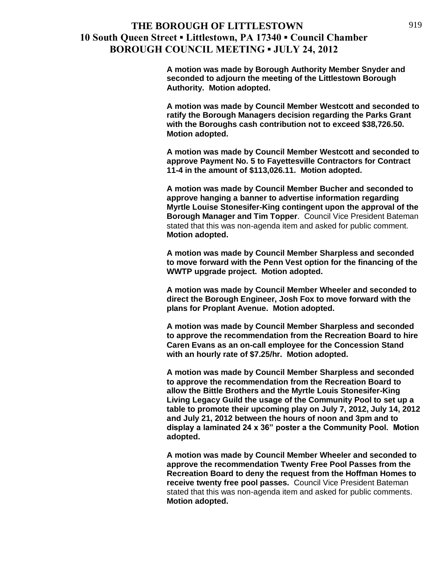**A motion was made by Borough Authority Member Snyder and seconded to adjourn the meeting of the Littlestown Borough Authority. Motion adopted.**

**A motion was made by Council Member Westcott and seconded to ratify the Borough Managers decision regarding the Parks Grant with the Boroughs cash contribution not to exceed \$38,726.50. Motion adopted.**

**A motion was made by Council Member Westcott and seconded to approve Payment No. 5 to Fayettesville Contractors for Contract 11-4 in the amount of \$113,026.11. Motion adopted.**

**A motion was made by Council Member Bucher and seconded to approve hanging a banner to advertise information regarding Myrtle Louise Stonesifer-King contingent upon the approval of the Borough Manager and Tim Topper**. Council Vice President Bateman stated that this was non-agenda item and asked for public comment. **Motion adopted.**

**A motion was made by Council Member Sharpless and seconded to move forward with the Penn Vest option for the financing of the WWTP upgrade project. Motion adopted.**

**A motion was made by Council Member Wheeler and seconded to direct the Borough Engineer, Josh Fox to move forward with the plans for Proplant Avenue. Motion adopted.**

**A motion was made by Council Member Sharpless and seconded to approve the recommendation from the Recreation Board to hire Caren Evans as an on-call employee for the Concession Stand with an hourly rate of \$7.25/hr. Motion adopted.**

**A motion was made by Council Member Sharpless and seconded to approve the recommendation from the Recreation Board to allow the Bittle Brothers and the Myrtle Louis Stonesifer-King Living Legacy Guild the usage of the Community Pool to set up a table to promote their upcoming play on July 7, 2012, July 14, 2012 and July 21, 2012 between the hours of noon and 3pm and to display a laminated 24 x 36" poster a the Community Pool. Motion adopted.**

**A motion was made by Council Member Wheeler and seconded to approve the recommendation Twenty Free Pool Passes from the Recreation Board to deny the request from the Hoffman Homes to receive twenty free pool passes.** Council Vice President Bateman stated that this was non-agenda item and asked for public comments. **Motion adopted.**